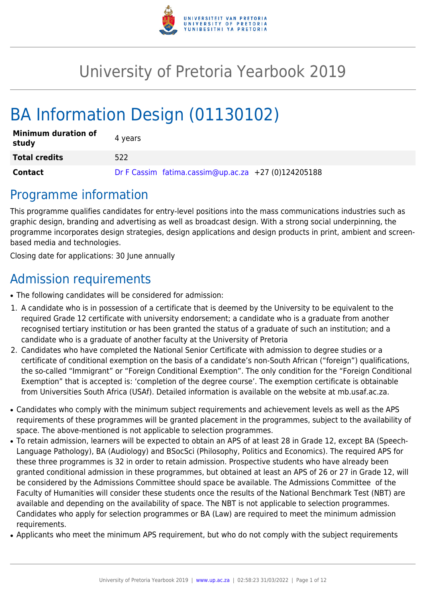

# University of Pretoria Yearbook 2019

# BA Information Design (01130102)

| <b>Minimum duration of</b><br>study | 4 years                                             |
|-------------------------------------|-----------------------------------------------------|
| <b>Total credits</b>                | 522                                                 |
| <b>Contact</b>                      | Dr F Cassim fatima.cassim@up.ac.za +27 (0)124205188 |

## Programme information

This programme qualifies candidates for entry-level positions into the mass communications industries such as graphic design, branding and advertising as well as broadcast design. With a strong social underpinning, the programme incorporates design strategies, design applications and design products in print, ambient and screenbased media and technologies.

Closing date for applications: 30 June annually

# Admission requirements

- The following candidates will be considered for admission:
- 1. A candidate who is in possession of a certificate that is deemed by the University to be equivalent to the required Grade 12 certificate with university endorsement; a candidate who is a graduate from another recognised tertiary institution or has been granted the status of a graduate of such an institution; and a candidate who is a graduate of another faculty at the University of Pretoria
- 2. Candidates who have completed the National Senior Certificate with admission to degree studies or a certificate of conditional exemption on the basis of a candidate's non-South African ("foreign") qualifications, the so-called "Immigrant" or "Foreign Conditional Exemption". The only condition for the "Foreign Conditional Exemption" that is accepted is: 'completion of the degree course'. The exemption certificate is obtainable from Universities South Africa (USAf). Detailed information is available on the website at mb.usaf.ac.za.
- Candidates who comply with the minimum subject requirements and achievement levels as well as the APS requirements of these programmes will be granted placement in the programmes, subject to the availability of space. The above-mentioned is not applicable to selection programmes.
- To retain admission, learners will be expected to obtain an APS of at least 28 in Grade 12, except BA (Speech-Language Pathology), BA (Audiology) and BSocSci (Philosophy, Politics and Economics). The required APS for these three programmes is 32 in order to retain admission. Prospective students who have already been granted conditional admission in these programmes, but obtained at least an APS of 26 or 27 in Grade 12, will be considered by the Admissions Committee should space be available. The Admissions Committee of the Faculty of Humanities will consider these students once the results of the National Benchmark Test (NBT) are available and depending on the availability of space. The NBT is not applicable to selection programmes. Candidates who apply for selection programmes or BA (Law) are required to meet the minimum admission requirements.
- Applicants who meet the minimum APS requirement, but who do not comply with the subject requirements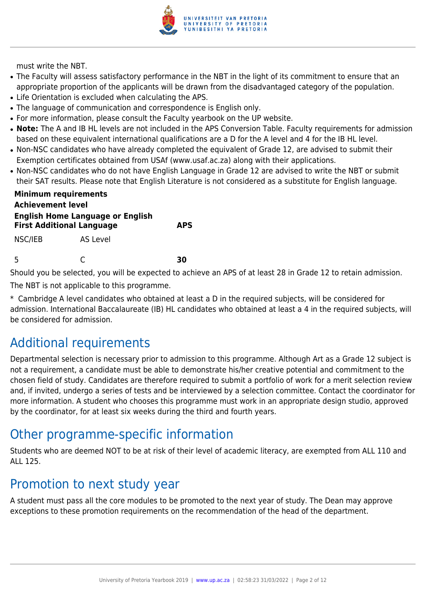

must write the NBT.

- The Faculty will assess satisfactory performance in the NBT in the light of its commitment to ensure that an appropriate proportion of the applicants will be drawn from the disadvantaged category of the population.
- Life Orientation is excluded when calculating the APS.
- The language of communication and correspondence is English only.
- For more information, please consult the Faculty yearbook on the UP website.
- Note: The A and IB HL levels are not included in the APS Conversion Table. Faculty requirements for admission based on these equivalent international qualifications are a D for the A level and 4 for the IB HL level.
- Non-NSC candidates who have already completed the equivalent of Grade 12, are advised to submit their Exemption certificates obtained from USAf (www.usaf.ac.za) along with their applications.
- Non-NSC candidates who do not have English Language in Grade 12 are advised to write the NBT or submit their SAT results. Please note that English Literature is not considered as a substitute for English language.

| <b>Minimum requirements</b><br><b>Achievement level</b><br><b>First Additional Language</b> | <b>English Home Language or English</b> | <b>APS</b> |
|---------------------------------------------------------------------------------------------|-----------------------------------------|------------|
| NSC/IEB                                                                                     | AS Level                                |            |
| -5                                                                                          |                                         | RЛ         |

Should you be selected, you will be expected to achieve an APS of at least 28 in Grade 12 to retain admission.

The NBT is not applicable to this programme.

\* Cambridge A level candidates who obtained at least a D in the required subjects, will be considered for admission. International Baccalaureate (IB) HL candidates who obtained at least a 4 in the required subjects, will be considered for admission.

### Additional requirements

Departmental selection is necessary prior to admission to this programme. Although Art as a Grade 12 subject is not a requirement, a candidate must be able to demonstrate his/her creative potential and commitment to the chosen field of study. Candidates are therefore required to submit a portfolio of work for a merit selection review and, if invited, undergo a series of tests and be interviewed by a selection committee. Contact the coordinator for more information. A student who chooses this programme must work in an appropriate design studio, approved by the coordinator, for at least six weeks during the third and fourth years.

## Other programme-specific information

Students who are deemed NOT to be at risk of their level of academic literacy, are exempted from ALL 110 and ALL 125.

### Promotion to next study year

A student must pass all the core modules to be promoted to the next year of study. The Dean may approve exceptions to these promotion requirements on the recommendation of the head of the department.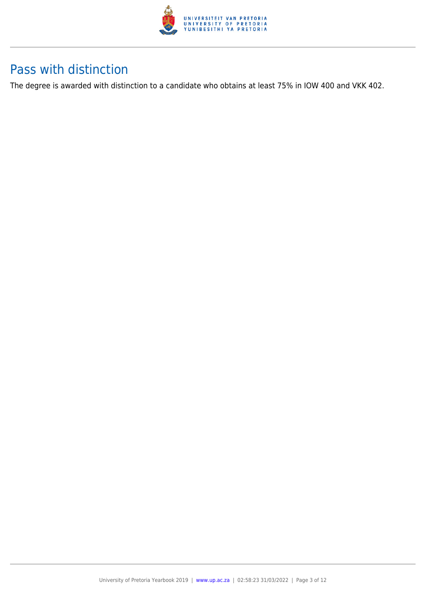

### Pass with distinction

The degree is awarded with distinction to a candidate who obtains at least 75% in IOW 400 and VKK 402.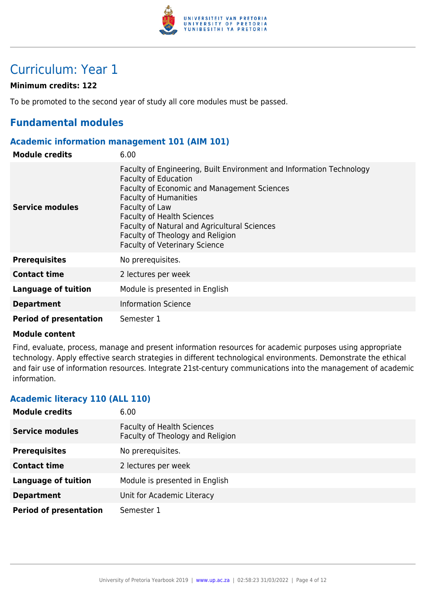

# Curriculum: Year 1

#### **Minimum credits: 122**

To be promoted to the second year of study all core modules must be passed.

### **Fundamental modules**

#### **Academic information management 101 (AIM 101)**

| <b>Module credits</b>         | 6.00                                                                                                                                                                                                                                                                                                                                                                         |
|-------------------------------|------------------------------------------------------------------------------------------------------------------------------------------------------------------------------------------------------------------------------------------------------------------------------------------------------------------------------------------------------------------------------|
| <b>Service modules</b>        | Faculty of Engineering, Built Environment and Information Technology<br><b>Faculty of Education</b><br><b>Faculty of Economic and Management Sciences</b><br><b>Faculty of Humanities</b><br>Faculty of Law<br><b>Faculty of Health Sciences</b><br>Faculty of Natural and Agricultural Sciences<br>Faculty of Theology and Religion<br><b>Faculty of Veterinary Science</b> |
| <b>Prerequisites</b>          | No prerequisites.                                                                                                                                                                                                                                                                                                                                                            |
| <b>Contact time</b>           | 2 lectures per week                                                                                                                                                                                                                                                                                                                                                          |
| <b>Language of tuition</b>    | Module is presented in English                                                                                                                                                                                                                                                                                                                                               |
| <b>Department</b>             | <b>Information Science</b>                                                                                                                                                                                                                                                                                                                                                   |
| <b>Period of presentation</b> | Semester 1                                                                                                                                                                                                                                                                                                                                                                   |

#### **Module content**

Find, evaluate, process, manage and present information resources for academic purposes using appropriate technology. Apply effective search strategies in different technological environments. Demonstrate the ethical and fair use of information resources. Integrate 21st-century communications into the management of academic information.

#### **Academic literacy 110 (ALL 110)**

| <b>Module credits</b>         | 6.00                                                                  |
|-------------------------------|-----------------------------------------------------------------------|
| <b>Service modules</b>        | <b>Faculty of Health Sciences</b><br>Faculty of Theology and Religion |
| <b>Prerequisites</b>          | No prerequisites.                                                     |
| <b>Contact time</b>           | 2 lectures per week                                                   |
| <b>Language of tuition</b>    | Module is presented in English                                        |
| <b>Department</b>             | Unit for Academic Literacy                                            |
| <b>Period of presentation</b> | Semester 1                                                            |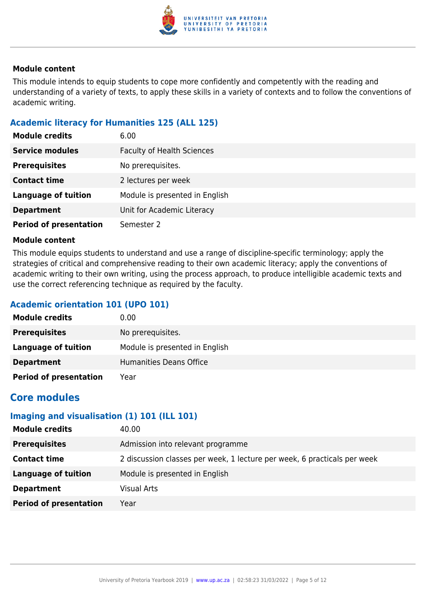

This module intends to equip students to cope more confidently and competently with the reading and understanding of a variety of texts, to apply these skills in a variety of contexts and to follow the conventions of academic writing.

#### **Academic literacy for Humanities 125 (ALL 125)**

| <b>Module credits</b>         | 6.00                              |
|-------------------------------|-----------------------------------|
| <b>Service modules</b>        | <b>Faculty of Health Sciences</b> |
| <b>Prerequisites</b>          | No prerequisites.                 |
| <b>Contact time</b>           | 2 lectures per week               |
| <b>Language of tuition</b>    | Module is presented in English    |
| <b>Department</b>             | Unit for Academic Literacy        |
| <b>Period of presentation</b> | Semester 2                        |

#### **Module content**

This module equips students to understand and use a range of discipline-specific terminology; apply the strategies of critical and comprehensive reading to their own academic literacy; apply the conventions of academic writing to their own writing, using the process approach, to produce intelligible academic texts and use the correct referencing technique as required by the faculty.

#### **Academic orientation 101 (UPO 101)**

| <b>Module credits</b>         | 0.00                           |
|-------------------------------|--------------------------------|
| <b>Prerequisites</b>          | No prerequisites.              |
| Language of tuition           | Module is presented in English |
| <b>Department</b>             | Humanities Deans Office        |
| <b>Period of presentation</b> | Year                           |

### **Core modules**

#### **Imaging and visualisation (1) 101 (ILL 101)**

| <b>Module credits</b>         | 40.00                                                                    |
|-------------------------------|--------------------------------------------------------------------------|
| <b>Prerequisites</b>          | Admission into relevant programme                                        |
| <b>Contact time</b>           | 2 discussion classes per week, 1 lecture per week, 6 practicals per week |
| <b>Language of tuition</b>    | Module is presented in English                                           |
| <b>Department</b>             | <b>Visual Arts</b>                                                       |
| <b>Period of presentation</b> | Year                                                                     |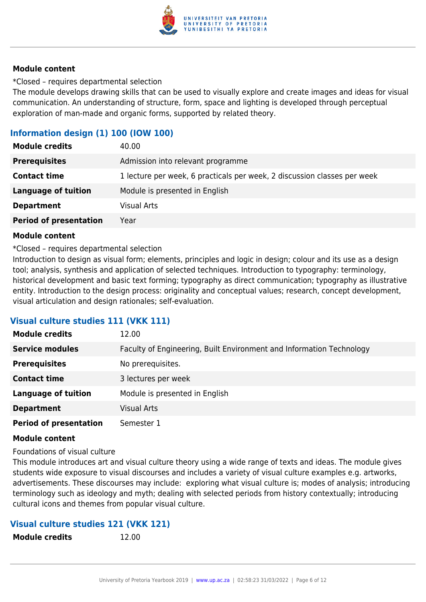

\*Closed – requires departmental selection

The module develops drawing skills that can be used to visually explore and create images and ideas for visual communication. An understanding of structure, form, space and lighting is developed through perceptual exploration of man-made and organic forms, supported by related theory.

#### **Information design (1) 100 (IOW 100)**

| <b>Module credits</b>         | 40.00                                                                    |
|-------------------------------|--------------------------------------------------------------------------|
| <b>Prerequisites</b>          | Admission into relevant programme                                        |
| <b>Contact time</b>           | 1 lecture per week, 6 practicals per week, 2 discussion classes per week |
| <b>Language of tuition</b>    | Module is presented in English                                           |
| <b>Department</b>             | <b>Visual Arts</b>                                                       |
| <b>Period of presentation</b> | Year                                                                     |

#### **Module content**

\*Closed – requires departmental selection

Introduction to design as visual form; elements, principles and logic in design; colour and its use as a design tool; analysis, synthesis and application of selected techniques. Introduction to typography: terminology, historical development and basic text forming; typography as direct communication; typography as illustrative entity. Introduction to the design process: originality and conceptual values; research, concept development, visual articulation and design rationales; self-evaluation.

#### **Visual culture studies 111 (VKK 111)**

| <b>Module credits</b>         | 12.00                                                                |
|-------------------------------|----------------------------------------------------------------------|
| <b>Service modules</b>        | Faculty of Engineering, Built Environment and Information Technology |
| <b>Prerequisites</b>          | No prerequisites.                                                    |
| <b>Contact time</b>           | 3 lectures per week                                                  |
| <b>Language of tuition</b>    | Module is presented in English                                       |
| <b>Department</b>             | <b>Visual Arts</b>                                                   |
| <b>Period of presentation</b> | Semester 1                                                           |

#### **Module content**

Foundations of visual culture

This module introduces art and visual culture theory using a wide range of texts and ideas. The module gives students wide exposure to visual discourses and includes a variety of visual culture examples e.g. artworks, advertisements. These discourses may include: exploring what visual culture is; modes of analysis; introducing terminology such as ideology and myth; dealing with selected periods from history contextually; introducing cultural icons and themes from popular visual culture.

#### **Visual culture studies 121 (VKK 121)**

| <b>Module credits</b> | 12.00 |
|-----------------------|-------|
|-----------------------|-------|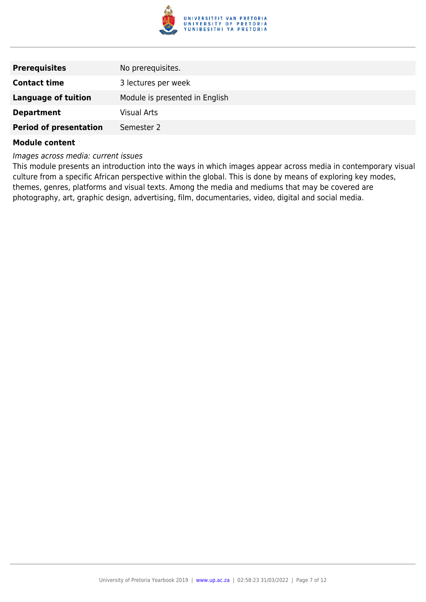

| <b>Prerequisites</b>          | No prerequisites.              |
|-------------------------------|--------------------------------|
| <b>Contact time</b>           | 3 lectures per week            |
| <b>Language of tuition</b>    | Module is presented in English |
| <b>Department</b>             | <b>Visual Arts</b>             |
| <b>Period of presentation</b> | Semester 2                     |
|                               |                                |

Images across media: current issues

This module presents an introduction into the ways in which images appear across media in contemporary visual culture from a specific African perspective within the global. This is done by means of exploring key modes, themes, genres, platforms and visual texts. Among the media and mediums that may be covered are photography, art, graphic design, advertising, film, documentaries, video, digital and social media.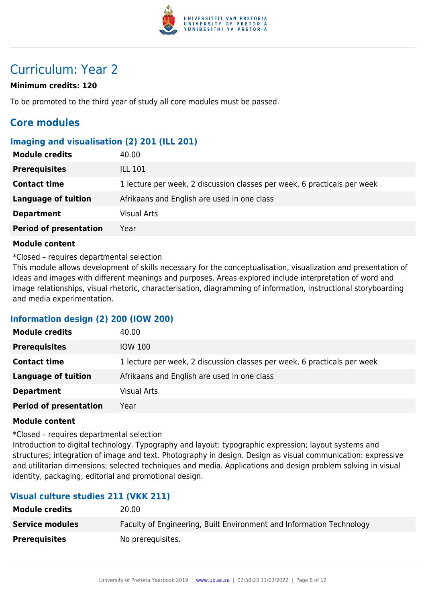

# Curriculum: Year 2

#### **Minimum credits: 120**

To be promoted to the third year of study all core modules must be passed.

### **Core modules**

#### **Imaging and visualisation (2) 201 (ILL 201)**

| <b>Module credits</b>         | 40.00                                                                    |
|-------------------------------|--------------------------------------------------------------------------|
| <b>Prerequisites</b>          | <b>ILL 101</b>                                                           |
| <b>Contact time</b>           | 1 lecture per week, 2 discussion classes per week, 6 practicals per week |
| Language of tuition           | Afrikaans and English are used in one class                              |
| <b>Department</b>             | <b>Visual Arts</b>                                                       |
| <b>Period of presentation</b> | Year                                                                     |

#### **Module content**

\*Closed – requires departmental selection

This module allows development of skills necessary for the conceptualisation, visualization and presentation of ideas and images with different meanings and purposes. Areas explored include interpretation of word and image relationships, visual rhetoric, characterisation, diagramming of information, instructional storyboarding and media experimentation.

#### **Information design (2) 200 (IOW 200)**

| <b>Module credits</b>         | 40.00                                                                    |
|-------------------------------|--------------------------------------------------------------------------|
| <b>Prerequisites</b>          | <b>IOW 100</b>                                                           |
| <b>Contact time</b>           | 1 lecture per week, 2 discussion classes per week, 6 practicals per week |
| Language of tuition           | Afrikaans and English are used in one class                              |
| <b>Department</b>             | <b>Visual Arts</b>                                                       |
| <b>Period of presentation</b> | Year                                                                     |

#### **Module content**

\*Closed – requires departmental selection

Introduction to digital technology. Typography and layout: typographic expression; layout systems and structures; integration of image and text. Photography in design. Design as visual communication: expressive and utilitarian dimensions; selected techniques and media. Applications and design problem solving in visual identity, packaging, editorial and promotional design.

#### **Visual culture studies 211 (VKK 211)**

| <b>Module credits</b>  | 20.00                                                                |
|------------------------|----------------------------------------------------------------------|
| <b>Service modules</b> | Faculty of Engineering, Built Environment and Information Technology |
| <b>Prerequisites</b>   | No prerequisites.                                                    |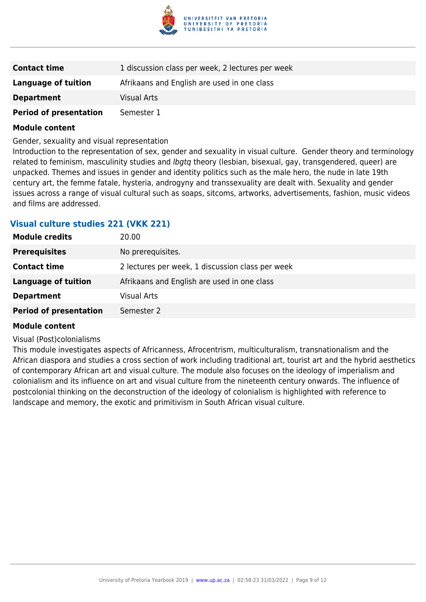

| <b>Contact time</b>           | 1 discussion class per week, 2 lectures per week |
|-------------------------------|--------------------------------------------------|
| <b>Language of tuition</b>    | Afrikaans and English are used in one class      |
| <b>Department</b>             | <b>Visual Arts</b>                               |
| <b>Period of presentation</b> | Semester 1                                       |

Gender, sexuality and visual representation

Introduction to the representation of sex, gender and sexuality in visual culture. Gender theory and terminology related to feminism, masculinity studies and *lbgtq* theory (lesbian, bisexual, gay, transgendered, queer) are unpacked. Themes and issues in gender and identity politics such as the male hero, the nude in late 19th century art, the femme fatale, hysteria, androgyny and transsexuality are dealt with. Sexuality and gender issues across a range of visual cultural such as soaps, sitcoms, artworks, advertisements, fashion, music videos and films are addressed.

#### **Visual culture studies 221 (VKK 221)**

| <b>Module credits</b>         | 20.00                                            |
|-------------------------------|--------------------------------------------------|
| <b>Prerequisites</b>          | No prerequisites.                                |
| <b>Contact time</b>           | 2 lectures per week, 1 discussion class per week |
| <b>Language of tuition</b>    | Afrikaans and English are used in one class      |
| <b>Department</b>             | <b>Visual Arts</b>                               |
| <b>Period of presentation</b> | Semester 2                                       |

#### **Module content**

#### Visual (Post)colonialisms

This module investigates aspects of Africanness, Afrocentrism, multiculturalism, transnationalism and the African diaspora and studies a cross section of work including traditional art, tourist art and the hybrid aesthetics of contemporary African art and visual culture. The module also focuses on the ideology of imperialism and colonialism and its influence on art and visual culture from the nineteenth century onwards. The influence of postcolonial thinking on the deconstruction of the ideology of colonialism is highlighted with reference to landscape and memory, the exotic and primitivism in South African visual culture.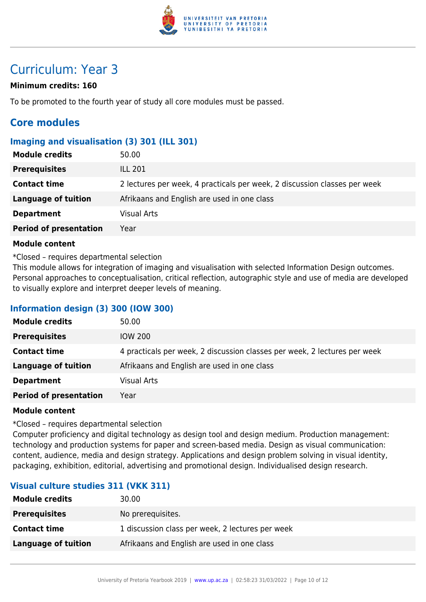

# Curriculum: Year 3

#### **Minimum credits: 160**

To be promoted to the fourth year of study all core modules must be passed.

### **Core modules**

#### **Imaging and visualisation (3) 301 (ILL 301)**

| <b>Module credits</b>         | 50.00                                                                     |
|-------------------------------|---------------------------------------------------------------------------|
| <b>Prerequisites</b>          | <b>ILL 201</b>                                                            |
| <b>Contact time</b>           | 2 lectures per week, 4 practicals per week, 2 discussion classes per week |
| Language of tuition           | Afrikaans and English are used in one class                               |
| <b>Department</b>             | <b>Visual Arts</b>                                                        |
| <b>Period of presentation</b> | Year                                                                      |

#### **Module content**

\*Closed – requires departmental selection

This module allows for integration of imaging and visualisation with selected Information Design outcomes. Personal approaches to conceptualisation, critical reflection, autographic style and use of media are developed to visually explore and interpret deeper levels of meaning.

#### **Information design (3) 300 (IOW 300)**

| <b>Module credits</b>         | 50.00                                                                     |
|-------------------------------|---------------------------------------------------------------------------|
| <b>Prerequisites</b>          | <b>IOW 200</b>                                                            |
| <b>Contact time</b>           | 4 practicals per week, 2 discussion classes per week, 2 lectures per week |
| <b>Language of tuition</b>    | Afrikaans and English are used in one class                               |
| <b>Department</b>             | <b>Visual Arts</b>                                                        |
| <b>Period of presentation</b> | Year                                                                      |

#### **Module content**

\*Closed – requires departmental selection

Computer proficiency and digital technology as design tool and design medium. Production management: technology and production systems for paper and screen-based media. Design as visual communication: content, audience, media and design strategy. Applications and design problem solving in visual identity, packaging, exhibition, editorial, advertising and promotional design. Individualised design research.

#### **Visual culture studies 311 (VKK 311)**

| <b>Module credits</b> | 30.00                                            |
|-----------------------|--------------------------------------------------|
| <b>Prerequisites</b>  | No prerequisites.                                |
| <b>Contact time</b>   | 1 discussion class per week, 2 lectures per week |
| Language of tuition   | Afrikaans and English are used in one class      |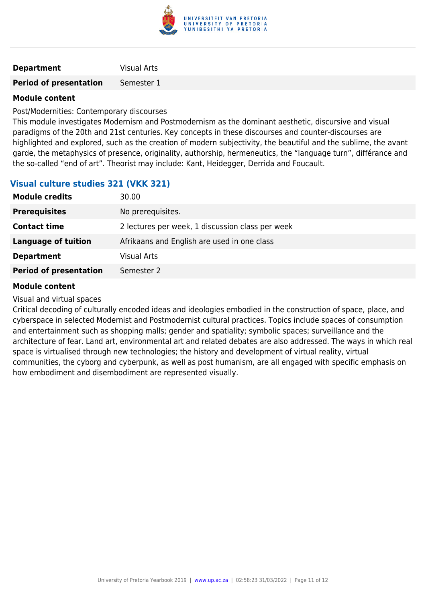

| <b>Visual Arts</b><br><b>Department</b> |  |
|-----------------------------------------|--|
|-----------------------------------------|--|

**Period of presentation** Semester 1

#### **Module content**

Post/Modernities: Contemporary discourses

This module investigates Modernism and Postmodernism as the dominant aesthetic, discursive and visual paradigms of the 20th and 21st centuries. Key concepts in these discourses and counter-discourses are highlighted and explored, such as the creation of modern subjectivity, the beautiful and the sublime, the avant garde, the metaphysics of presence, originality, authorship, hermeneutics, the "language turn", différance and the so-called "end of art". Theorist may include: Kant, Heidegger, Derrida and Foucault.

#### **Visual culture studies 321 (VKK 321)**

| <b>Module credits</b>         | 30.00                                            |
|-------------------------------|--------------------------------------------------|
| <b>Prerequisites</b>          | No prerequisites.                                |
| <b>Contact time</b>           | 2 lectures per week, 1 discussion class per week |
| Language of tuition           | Afrikaans and English are used in one class      |
| <b>Department</b>             | <b>Visual Arts</b>                               |
| <b>Period of presentation</b> | Semester 2                                       |

#### **Module content**

Visual and virtual spaces

Critical decoding of culturally encoded ideas and ideologies embodied in the construction of space, place, and cyberspace in selected Modernist and Postmodernist cultural practices. Topics include spaces of consumption and entertainment such as shopping malls; gender and spatiality; symbolic spaces; surveillance and the architecture of fear. Land art, environmental art and related debates are also addressed. The ways in which real space is virtualised through new technologies; the history and development of virtual reality, virtual communities, the cyborg and cyberpunk, as well as post humanism, are all engaged with specific emphasis on how embodiment and disembodiment are represented visually.